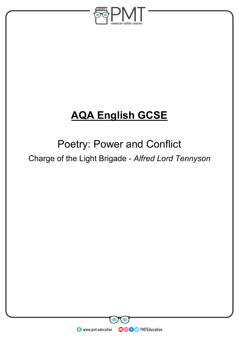

# **AQA English GCSE**

# Poetry: Power and Conflict

Charge of the Light Brigade - *Alfred Lord Tennyson*

**WWW.pmt.education**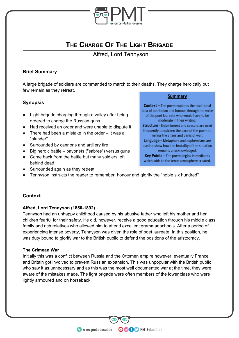

# **THE CHARGE OF THE LIGHT BRIGADE**

Alfred, Lord Tennyson

#### **Brief Summary**

A large brigade of soldiers are commanded to march to their deaths. They charge heroically but few remain as they retreat.

### **Synopsis**

- Light brigade charging through a valley after being ordered to charge the Russian guns
- Had received an order and were unable to dispute it
- $\bullet$  There had been a mistake in the order it was a "blunder"
- Surrounded by cannons and artillery fire
- Big heroic battle bayonets ("sabres") versus guns
- Come back from the battle but many soldiers left behind dead
- Surrounded again as they retreat

#### **Summary**

**Context** - The poem explores the traditional idea of patriotism and honour through the voice of the poet laureate who would have to be moderate in their writing. Structure - Enjambment and caesura are used frequently to quicken the pace of the poem to mirror the chaos and panic of war. Language - Metaphors and euphemisms are used to show how the brutality of the situation remains unacknowledged. Key Points - The poem begins in media res which adds to the tense atmosphere created.

• Tennyson instructs the reader to remember, honour and glorify the "noble six hundred"

#### **Context**

#### **Alfred, Lord Tennyson (1850-1892)**

Tennyson had an unhappy childhood caused by his abusive father who left his mother and her children fearful for their safety. He did, however, receive a good education through his middle class family and rich relatives who allowed him to attend excellent grammar schools. After a period of experiencing intense poverty, Tennyson was given the role of poet laureate. In this position, he was duty bound to glorify war to the British public to defend the positions of the aristocracy.

#### **The Crimean War**

Initially this was a conflict between Russia and the Ottomen empire however, eventually France and Britain got involved to prevent Russian expansion. This was unpopular with the British public who saw it as unnecessary and as this was the most well documented war at the time, they were aware of the mistakes made. The light brigade were often members of the lower class who were lightly armoured and on horseback.

**OOOO** PMTEducation

**WWW.pmt.education**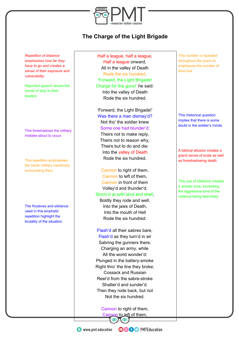

# **The Charge of the Light Brigade**

*Repetition of distance emphasises how far they have to go and creates a sense of their exposure and vulnerability.*

*Reported speech shows the sense of duty to their leaders.*

This foreshadows the military mistake about to occur.

This repetition emphasises the harsh military machinery surrounding them.

The fricatives and sibilance used in this emphatic repetition highlight the brutality of the situation.

Half a league, half a league, Half a league onward, All in the valley of Death Rode the six hundred. 'Forward, the Light Brigade! Charge for the guns!' he said: Into the valley of Death Rode the six hundred.

'Forward, the Light Brigade!' Was there a man dismay'd? Not tho' the soldier knew Some one had blunder'd: Theirs not to make reply, Theirs not to reason why, Theirs but to do and die: Into the valley of Death Rode the six hundred.

Cannon to right of them, Cannon to left of them, Cannon in front of them Volley'd and thunder'd; Storm'd at with shot and shell, Boldly they rode and well, Into the jaws of Death,

Into the mouth of Hell Rode the six hundred.

Flash'd all their sabres bare, Flash'd as they turn'd in air Sabring the gunners there, Charging an army, while All the world wonder'd: Plunged in the battery-smoke Right thro' the line they broke; Cossack and Russian Reel'd from the sabre-stroke Shatter'd and sunder'd. Then they rode back, but not Not the six hundred.

Cannon to right of them, Cannon to left of them,

*This number is repeated throughout the poem to emphasise the number of lives lost.*

This rhetorical question implies that there is some doubt in the soldier's minds

A biblical allusion creates a grand sense of scale as well as foreshadowing death.

This use of sibilance creates a sinister tone, increasing the aggressive tone of the violence being described.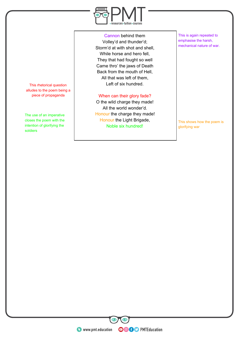

Cannon behind them Volley'd and thunder'd; Storm'd at with shot and shell, While horse and hero fell, They that had fought so well Came thro' the jaws of Death Back from the mouth of Hell, All that was left of them, Left of six hundred.

When can their glory fade?

O the wild charge they made! All the world wonder'd. Honour the charge they made! Honour the Light Brigade, Noble six hundred!

This is again repeated to emphasise the harsh, mechanical nature of war.

This shows how the poem is glorifying war

This rhetorical question alludes to the poem being a piece of propaganda

The use of an imperative closes the poem with the intention of glorifying the soldiers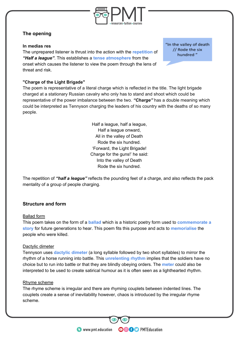

## **The opening**

#### **In medias res**

The unprepared listener is thrust into the action with the **repetition** of *"Half a league"*. This establishes a **tense atmosphere** from the onset which causes the listener to view the poem through the lens of threat and risk.

"In the valley of death // Rode the six hundred "

#### **"Charge of the Light Brigade"**

The poem is representative of a literal charge which is reflected in the title. The light brigade charged at a stationary Russian cavalry who only has to stand and shoot which could be representative of the power imbalance between the two. *"Charge"* has a double meaning which could be interpreted as Tennyson charging the leaders of his country with the deaths of so many people.

> Half a league, half a league, Half a league onward, All in the valley of Death Rode the six hundred. 'Forward, the Light Brigade! Charge for the guns!' he said: Into the valley of Death Rode the six hundred.

The repetition of *"half a league"* reflects the pounding feet of a charge, and also reflects the pack mentality of a group of people charging.

#### **Structure and form**

#### Ballad form

This poem takes on the form of a **ballad** which is a historic poetry form used to **commemorate a story** for future generations to hear. This poem fits this purpose and acts to **memorialise** the people who were killed.

#### Dactylic dimeter

Tennyson uses **dactylic dimeter** (a long syllable followed by two short syllables) to mirror the rhythm of a horse running into battle. This **unrelenting rhythm** implies that the soldiers have no choice but to run into battle or that they are blindly obeying orders. The **meter** could also be interpreted to be used to create satirical humour as it is often seen as a lighthearted rhythm.

#### Rhyme scheme

The rhyme scheme is irregular and there are rhyming couplets between indented lines. The couplets create a sense of inevitability however, chaos is introduced by the irregular rhyme scheme.

**OOOO** PMTEducation

**C** www.pmt.education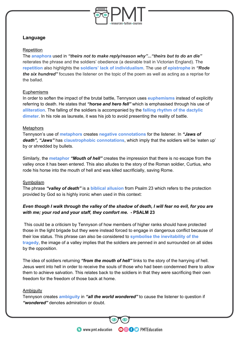

#### **Language**

#### Repetition

The **anaphora** used in *"theirs not to make reply/reason why"..."theirs but to do an die"* reiterates the phrase and the soldiers' obedience (a desirable trait in Victorian England). The **repetition** also highlights the **soldiers' lack of individualism**. The use of **epistrophe** in *"Rode the six hundred"* focuses the listener on the topic of the poem as well as acting as a reprise for the ballad.

#### Euphemisms

In order to soften the impact of the brutal battle, Tennyson uses **euphemisms** instead of explicitly referring to death. He states that *"horse and hero fell"* which is emphasised through his use of **alliteration**. The falling of the soldiers is accompanied by the **falling rhythm of the dactylic dimeter**. In his role as laureate, it was his job to avoid presenting the reality of battle.

#### **Metaphors**

Tennyson's use of **metaphors** creates **negative connotations** for the listener. In *"Jaws of death", "Jaws"* has **claustrophobic connotations**, which imply that the soldiers will be 'eaten up' by or shredded by bullets.

Similarly, the **metaphor** *"Mouth of hell"* creates the impression that there is no escape from the valley once it has been entered. This also alludes to the story of the Roman soldier, Curtius, who rode his horse into the mouth of hell and was killed sacrificially, saving Rome.

#### Symbolism

The phrase *"valley of death"* is a **biblical allusion** from Psalm 23 which refers to the protection provided by God so is highly ironic when used in this context:

### Even though I walk through the valley of the shadow of death, I will fear no evil, for you are *with me; your rod and your staff, they comfort me. -* **PSALM 23**

This could be a criticism by Tennyson of how members of higher ranks should have protected those in the light brigade but they were instead forced to engage in dangerous conflict because of their low status. This phrase can also be considered to **symbolise the inevitability of the tragedy**, the image of a valley implies that the soldiers are penned in and surrounded on all sides by the opposition.

The idea of soldiers returning *"from the mouth of hell"* links to the story of the harrying of hell. Jesus went into hell in order to receive the souls of those who had been condemned there to allow them to achieve salvation. This relates back to the soldiers in that they were sacrificing their own freedom for the freedom of those back at home.

#### **Ambiguity**

Tennyson creates **ambiguity** in *"all the world wondered"* to cause the listener to question if *"wondered"* denotes admiration or doubt.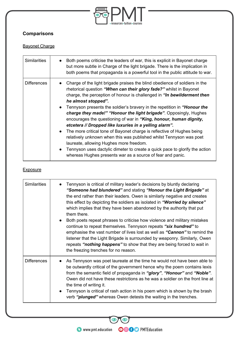

# **Comparisons**

# Bayonet Charge

| <b>Similarities</b> | Both poems criticise the leaders of war, this is explicit in Bayonet charge<br>but more subtle in Charge of the light brigade. There is the implication in<br>both poems that propaganda is a powerful tool in the public attitude to war.                                                                                                                                                                                                                                                                                                                                                                                                                                                                                                                                                                                                                                                  |
|---------------------|---------------------------------------------------------------------------------------------------------------------------------------------------------------------------------------------------------------------------------------------------------------------------------------------------------------------------------------------------------------------------------------------------------------------------------------------------------------------------------------------------------------------------------------------------------------------------------------------------------------------------------------------------------------------------------------------------------------------------------------------------------------------------------------------------------------------------------------------------------------------------------------------|
| <b>Differences</b>  | Charge of the light brigade praises the blind obedience of soldiers in the<br>rhetorical question "When can their glory fade?" whilst in Bayonet<br>charge, the perception of honour is challenged in "In bewilderment then<br>he almost stopped".<br>• Tennyson presents the soldier's bravery in the repetition in "Honour the<br>charge they made!" "Honour the light brigade". Opposingly, Hughes<br>encourages the questioning of war in "King, honour, human dignity,<br>etcetera // Dropped like luxuries in a yelling alarm".<br>The more critical tone of Bayonet charge is reflective of Hughes being<br>$\bullet$<br>relatively unknown when this was published whilst Tennyson was poet<br>laureate, allowing Hughes more freedom.<br>Tennyson uses dactylic dimeter to create a quick pace to glorify the action<br>whereas Hughes presents war as a source of fear and panic. |

#### **Exposure**

| <b>Similarities</b> | Tennyson is critical of military leader's decisions by bluntly declaring<br>"Someone had blundered" and stating "Honour the Light Brigade" at<br>the end rather than their leaders. Owen is similarly negative and creates<br>this effect by depicting the soldiers as isolated in "Worried by silence"<br>which implies that they have been abandoned by the authority that put<br>them there.<br>Both poets repeat phrases to criticise how violence and military mistakes<br>continue to repeat themselves. Tennyson repeats "six hundred" to<br>emphasise the vast number of lives lost as well as "Cannon" to remind the<br>listener that the Light Brigade is surrounded by weaponry. Similarly, Owen<br>repeats "nothing happens" to show that they are being forced to wait in<br>the freezing trenches for no reason. |
|---------------------|--------------------------------------------------------------------------------------------------------------------------------------------------------------------------------------------------------------------------------------------------------------------------------------------------------------------------------------------------------------------------------------------------------------------------------------------------------------------------------------------------------------------------------------------------------------------------------------------------------------------------------------------------------------------------------------------------------------------------------------------------------------------------------------------------------------------------------|
| <b>Differences</b>  | As Tennyson was poet laureate at the time he would not have been able to<br>be outwardly critical of the government hence why the poem contains lexis<br>from the semantic field of propaganda in "glory", "Honour" and "Noble".<br>Owen did not have these restrictions as he was a soldier on the front line at<br>the time of writing it.<br>Tennyson is critical of rash action in his poem which is shown by the brash<br>verb " <b>plunged</b> " whereas Owen detests the waiting in the trenches.                                                                                                                                                                                                                                                                                                                       |

 $\bigcirc$